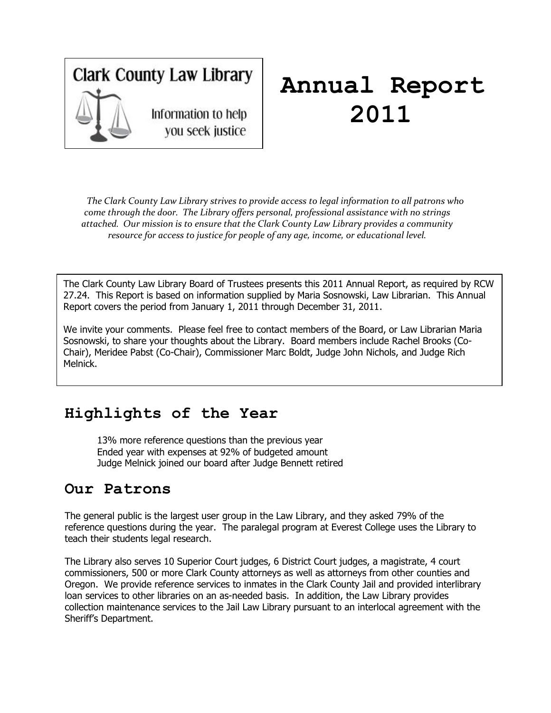## **Clark County Law Library** Information to help you seek justice

## **Annual Report 2011**

*The Clark County Law Library strives to provide access to legal information to all patrons who come through the door. The Library offers personal, professional assistance with no strings attached. Our mission is to ensure that the Clark County Law Library provides a community resource for access to justice for people of any age, income, or educational level.*

The Clark County Law Library Board of Trustees presents this 2011 Annual Report, as required by RCW 27.24. This Report is based on information supplied by Maria Sosnowski, Law Librarian. This Annual Report covers the period from January 1, 2011 through December 31, 2011.

We invite your comments. Please feel free to contact members of the Board, or Law Librarian Maria Sosnowski, to share your thoughts about the Library. Board members include Rachel Brooks (Co-Chair), Meridee Pabst (Co-Chair), Commissioner Marc Boldt, Judge John Nichols, and Judge Rich Melnick.

## **Highlights of the Year**

13% more reference questions than the previous year Ended year with expenses at 92% of budgeted amount Judge Melnick joined our board after Judge Bennett retired

## **Our Patrons**

The general public is the largest user group in the Law Library, and they asked 79% of the reference questions during the year. The paralegal program at Everest College uses the Library to teach their students legal research.

The Library also serves 10 Superior Court judges, 6 District Court judges, a magistrate, 4 court commissioners, 500 or more Clark County attorneys as well as attorneys from other counties and Oregon. We provide reference services to inmates in the Clark County Jail and provided interlibrary loan services to other libraries on an as-needed basis. In addition, the Law Library provides collection maintenance services to the Jail Law Library pursuant to an interlocal agreement with the Sheriff's Department.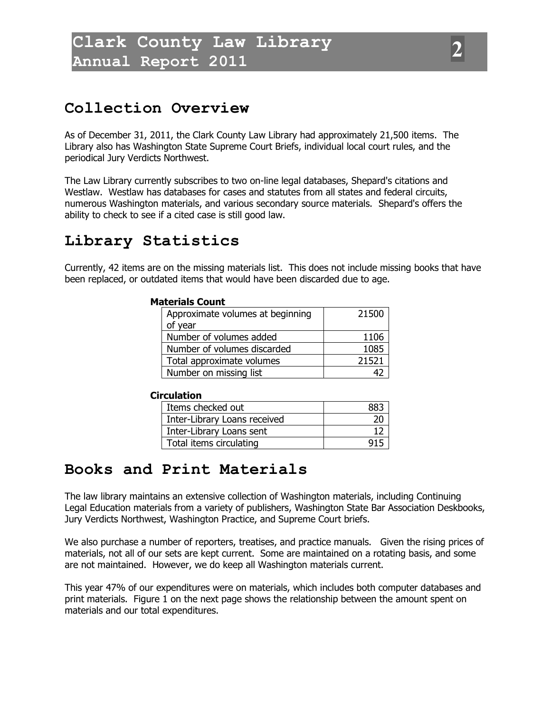## **Collection Overview**

As of December 31, 2011, the Clark County Law Library had approximately 21,500 items. The Library also has Washington State Supreme Court Briefs, individual local court rules, and the periodical Jury Verdicts Northwest.

The Law Library currently subscribes to two on-line legal databases, Shepard's citations and Westlaw. Westlaw has databases for cases and statutes from all states and federal circuits, numerous Washington materials, and various secondary source materials. Shepard's offers the ability to check to see if a cited case is still good law.

## **Library Statistics**

Currently, 42 items are on the missing materials list. This does not include missing books that have been replaced, or outdated items that would have been discarded due to age.

#### **Materials Count**

| Approximate volumes at beginning | 21500 |
|----------------------------------|-------|
| of year                          |       |
| Number of volumes added          | 1106  |
| Number of volumes discarded      | 1085  |
| Total approximate volumes        | 21521 |
| Number on missing list           |       |

#### **Circulation**

| Items checked out            |  |
|------------------------------|--|
| Inter-Library Loans received |  |
| Inter-Library Loans sent     |  |
| Total items circulating      |  |

## **Books and Print Materials**

The law library maintains an extensive collection of Washington materials, including Continuing Legal Education materials from a variety of publishers, Washington State Bar Association Deskbooks, Jury Verdicts Northwest, Washington Practice, and Supreme Court briefs.

We also purchase a number of reporters, treatises, and practice manuals. Given the rising prices of materials, not all of our sets are kept current. Some are maintained on a rotating basis, and some are not maintained. However, we do keep all Washington materials current.

This year 47% of our expenditures were on materials, which includes both computer databases and print materials. Figure 1 on the next page shows the relationship between the amount spent on materials and our total expenditures.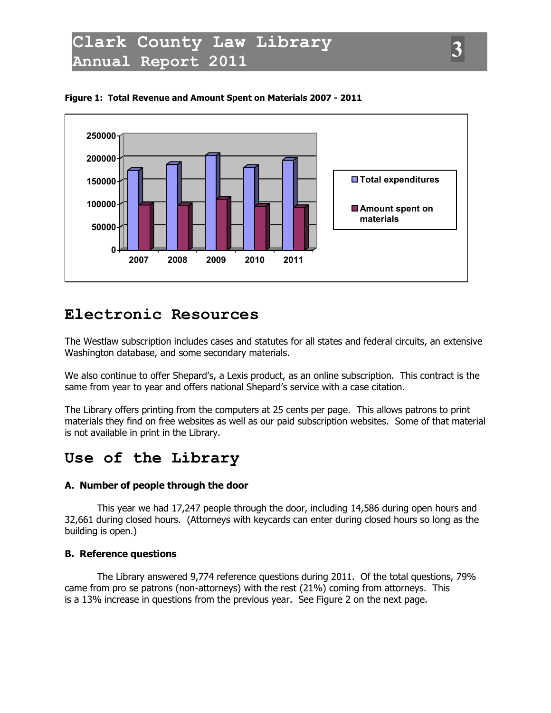



### **Electronic Resources**

The Westlaw subscription includes cases and statutes for all states and federal circuits, an extensive Washington database, and some secondary materials.

We also continue to offer Shepard's, a Lexis product, as an online subscription. This contract is the same from year to year and offers national Shepard's service with a case citation.

The Library offers printing from the computers at 25 cents per page. This allows patrons to print materials they find on free websites as well as our paid subscription websites. Some of that material is not available in print in the Library.

## **Use of the Library**

#### **A. Number of people through the door**

This year we had 17,247 people through the door, including 14,586 during open hours and 32,661 during closed hours. (Attorneys with keycards can enter during closed hours so long as the building is open.)

#### **B. Reference questions**

The Library answered 9,774 reference questions during 2011. Of the total questions, 79% came from pro se patrons (non-attorneys) with the rest (21%) coming from attorneys. This is a 13% increase in questions from the previous year. See Figure 2 on the next page.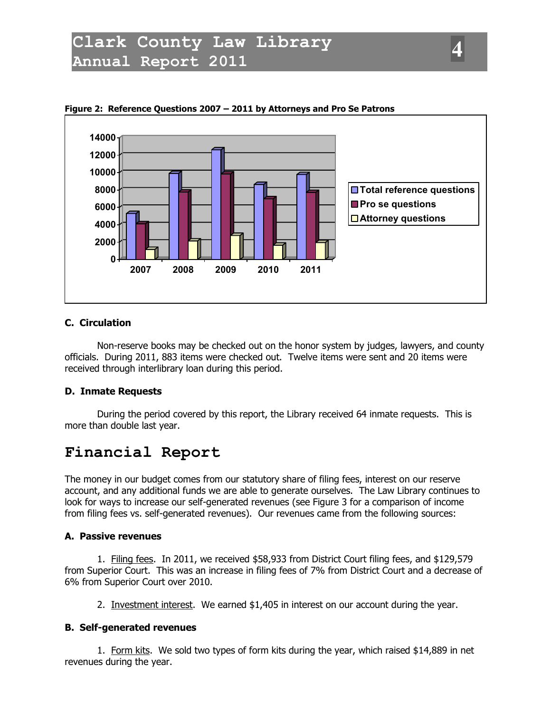

**Figure 2: Reference Questions 2007 – 2011 by Attorneys and Pro Se Patrons**

#### **C. Circulation**

Non-reserve books may be checked out on the honor system by judges, lawyers, and county officials. During 2011, 883 items were checked out. Twelve items were sent and 20 items were received through interlibrary loan during this period.

#### **D. Inmate Requests**

During the period covered by this report, the Library received 64 inmate requests. This is more than double last year.

## **Financial Report**

The money in our budget comes from our statutory share of filing fees, interest on our reserve account, and any additional funds we are able to generate ourselves. The Law Library continues to look for ways to increase our self-generated revenues (see Figure 3 for a comparison of income from filing fees vs. self-generated revenues). Our revenues came from the following sources:

#### **A. Passive revenues**

1. Filing fees. In 2011, we received \$58,933 from District Court filing fees, and \$129,579 from Superior Court. This was an increase in filing fees of 7% from District Court and a decrease of 6% from Superior Court over 2010.

2. Investment interest. We earned \$1,405 in interest on our account during the year.

#### **B. Self-generated revenues**

1. Form kits. We sold two types of form kits during the year, which raised \$14,889 in net revenues during the year.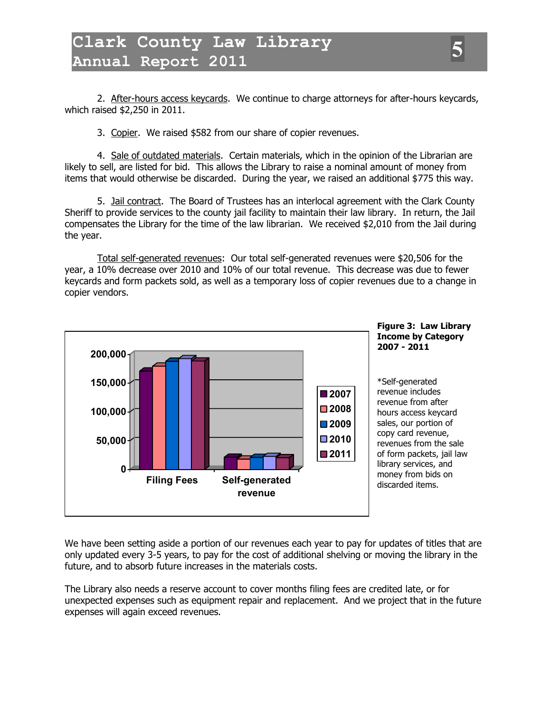2. After-hours access keycards. We continue to charge attorneys for after-hours keycards, which raised \$2,250 in 2011.

3. Copier. We raised \$582 from our share of copier revenues.

4. Sale of outdated materials. Certain materials, which in the opinion of the Librarian are likely to sell, are listed for bid. This allows the Library to raise a nominal amount of money from items that would otherwise be discarded. During the year, we raised an additional \$775 this way.

5. Jail contract. The Board of Trustees has an interlocal agreement with the Clark County Sheriff to provide services to the county jail facility to maintain their law library. In return, the Jail compensates the Library for the time of the law librarian. We received \$2,010 from the Jail during the year.

Total self-generated revenues: Our total self-generated revenues were \$20,506 for the year, a 10% decrease over 2010 and 10% of our total revenue. This decrease was due to fewer keycards and form packets sold, as well as a temporary loss of copier revenues due to a change in copier vendors.



We have been setting aside a portion of our revenues each year to pay for updates of titles that are only updated every 3-5 years, to pay for the cost of additional shelving or moving the library in the future, and to absorb future increases in the materials costs.

The Library also needs a reserve account to cover months filing fees are credited late, or for unexpected expenses such as equipment repair and replacement. And we project that in the future expenses will again exceed revenues.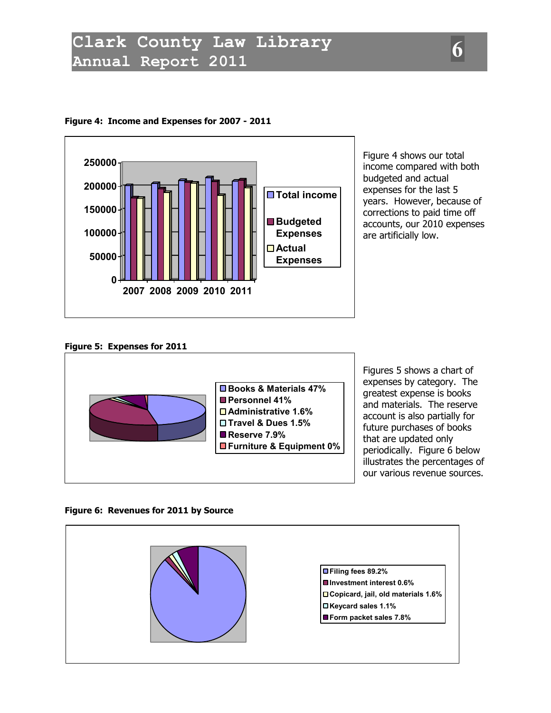

#### **Figure 4: Income and Expenses for 2007 - 2011**

Figure 4 shows our total income compared with both budgeted and actual expenses for the last 5 years. However, because of corrections to paid time off accounts, our 2010 expenses are artificially low.

#### **Figure 5: Expenses for 2011**



Figures 5 shows a chart of expenses by category. The greatest expense is books and materials. The reserve account is also partially for future purchases of books that are updated only periodically. Figure 6 below illustrates the percentages of our various revenue sources.

#### **Figure 6: Revenues for 2011 by Source**

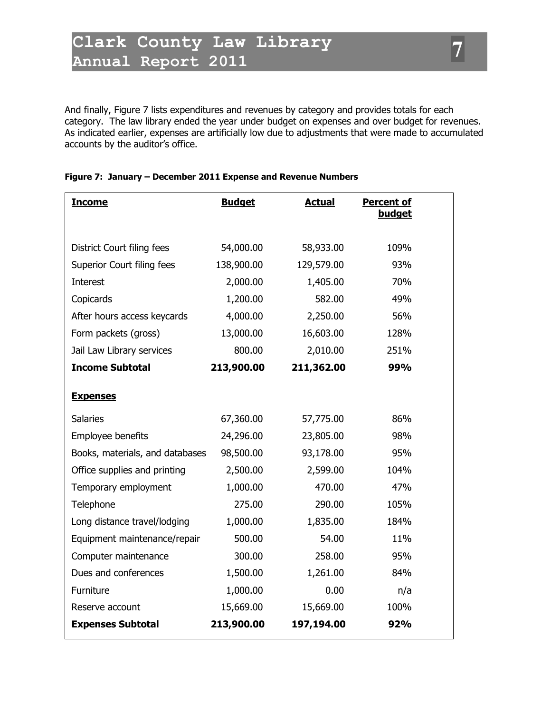And finally, Figure 7 lists expenditures and revenues by category and provides totals for each category. The law library ended the year under budget on expenses and over budget for revenues. As indicated earlier, expenses are artificially low due to adjustments that were made to accumulated accounts by the auditor's office.

| <b>Income</b>                   | <b>Budget</b> | <b>Actual</b> | <b>Percent of</b><br><b>budget</b> |  |
|---------------------------------|---------------|---------------|------------------------------------|--|
|                                 |               |               |                                    |  |
| District Court filing fees      | 54,000.00     | 58,933.00     | 109%                               |  |
| Superior Court filing fees      | 138,900.00    | 129,579.00    | 93%                                |  |
| Interest                        | 2,000.00      | 1,405.00      | 70%                                |  |
| Copicards                       | 1,200.00      | 582.00        | 49%                                |  |
| After hours access keycards     | 4,000.00      | 2,250.00      | 56%                                |  |
| Form packets (gross)            | 13,000.00     | 16,603.00     | 128%                               |  |
| Jail Law Library services       | 800.00        | 2,010.00      | 251%                               |  |
| <b>Income Subtotal</b>          | 213,900.00    | 211,362.00    | 99%                                |  |
| <b>Expenses</b>                 |               |               |                                    |  |
| <b>Salaries</b>                 | 67,360.00     | 57,775.00     | 86%                                |  |
| Employee benefits               | 24,296.00     | 23,805.00     | 98%                                |  |
| Books, materials, and databases | 98,500.00     | 93,178.00     | 95%                                |  |
| Office supplies and printing    | 2,500.00      | 2,599.00      | 104%                               |  |
| Temporary employment            | 1,000.00      | 470.00        | 47%                                |  |
| Telephone                       | 275.00        | 290.00        | 105%                               |  |
| Long distance travel/lodging    | 1,000.00      | 1,835.00      | 184%                               |  |
| Equipment maintenance/repair    | 500.00        | 54.00         | 11%                                |  |
| Computer maintenance            | 300.00        | 258.00        | 95%                                |  |
| Dues and conferences            | 1,500.00      | 1,261.00      | 84%                                |  |
| Furniture                       | 1,000.00      | 0.00          | n/a                                |  |
| Reserve account                 | 15,669.00     | 15,669.00     | 100%                               |  |
| <b>Expenses Subtotal</b>        | 213,900.00    | 197,194.00    | 92%                                |  |
|                                 |               |               |                                    |  |

#### **Figure 7: January – December 2011 Expense and Revenue Numbers**